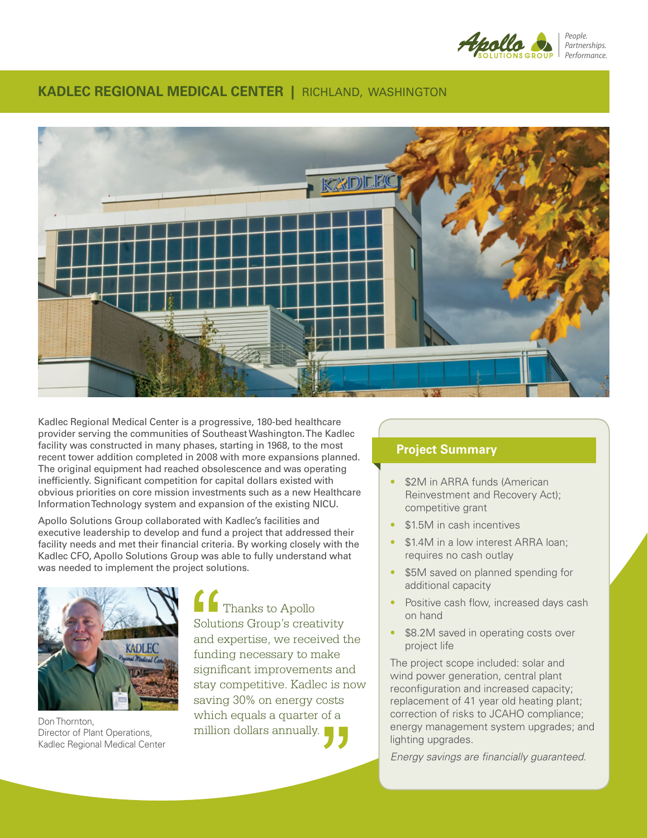

### **KADLEC REGIONAL MEDICAL CENTER |** RICHLAND, WASHINGTON



Kadlec Regional Medical Center is a progressive, 180-bed healthcare provider serving the communities of Southeast Washington. The Kadlec facility was constructed in many phases, starting in 1968, to the most recent tower addition completed in 2008 with more expansions planned. The original equipment had reached obsolescence and was operating inefficiently. Significant competition for capital dollars existed with obvious priorities on core mission investments such as a new Healthcare Information Technology system and expansion of the existing NICU.

Apollo Solutions Group collaborated with Kadlec's facilities and executive leadership to develop and fund a project that addressed their facility needs and met their financial criteria. By working closely with the Kadlec CFO, Apollo Solutions Group was able to fully understand what was needed to implement the project solutions.



Don Thornton, Director of Plant Operations, Kadlec Regional Medical Center

Thanks to Apollo Solutions Group's creativity and expertise, we received the funding necessary to make significant improvements and stay competitive. Kadlec is now saving 30% on energy costs which equals a quarter of a million dollars annually.

## **Project Summary**

- \$2M in ARRA funds (American Reinvestment and Recovery Act); competitive grant
- \$1.5M in cash incentives
- \$1.4M in a low interest ARRA loan; requires no cash outlay
- \$5M saved on planned spending for additional capacity
- Positive cash flow, increased days cash on hand
- \$8.2M saved in operating costs over project life

The project scope included: solar and wind power generation, central plant reconfiguration and increased capacity; replacement of 41 year old heating plant; correction of risks to JCAHO compliance; energy management system upgrades; and lighting upgrades.

*Energy savings are financially guaranteed.*